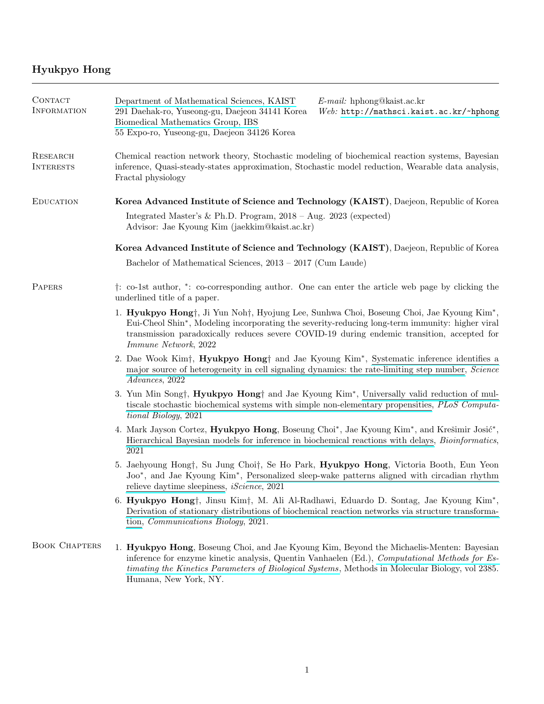## Hyukpyo Hong

| CONTACT<br><b>INFORMATION</b> | Department of Mathematical Sciences, KAIST<br>$E$ -mail: hphong@kaist.ac.kr<br>291 Daehak-ro, Yuseong-gu, Daejeon 34141 Korea<br>Web: http://mathsci.kaist.ac.kr/~hphong<br>Biomedical Mathematics Group, IBS<br>55 Expo-ro, Yuseong-gu, Daejeon 34126 Korea                                                                 |  |  |
|-------------------------------|------------------------------------------------------------------------------------------------------------------------------------------------------------------------------------------------------------------------------------------------------------------------------------------------------------------------------|--|--|
| RESEARCH<br><b>INTERESTS</b>  | Chemical reaction network theory, Stochastic modeling of biochemical reaction systems, Bayesian<br>inference, Quasi-steady-states approximation, Stochastic model reduction, Wearable data analysis,<br>Fractal physiology                                                                                                   |  |  |
| <b>EDUCATION</b>              | Korea Advanced Institute of Science and Technology (KAIST), Daejeon, Republic of Korea                                                                                                                                                                                                                                       |  |  |
|                               | Integrated Master's & Ph.D. Program, $2018 - Aug. 2023$ (expected)<br>Advisor: Jae Kyoung Kim (jaekkim@kaist.ac.kr)                                                                                                                                                                                                          |  |  |
|                               | Korea Advanced Institute of Science and Technology (KAIST), Daejeon, Republic of Korea                                                                                                                                                                                                                                       |  |  |
|                               | Bachelor of Mathematical Sciences, $2013 - 2017$ (Cum Laude)                                                                                                                                                                                                                                                                 |  |  |
| PAPERS                        | <sup>†</sup> : co-1st author, *: co-corresponding author. One can enter the article web page by clicking the<br>underlined title of a paper.                                                                                                                                                                                 |  |  |
|                               | 1. Hyukpyo Hong†, Ji Yun Noh†, Hyojung Lee, Sunhwa Choi, Boseung Choi, Jae Kyoung Kim <sup>*</sup> ,<br>Eui-Cheol Shin*, Modeling incorporating the severity-reducing long-term immunity: higher viral<br>transmission paradoxically reduces severe COVID-19 during endemic transition, accepted for<br>Immune Network, 2022 |  |  |
|                               | 2. Dae Wook Kim <sup>+</sup> , Hyukpyo Hong <sup>+</sup> and Jae Kyoung Kim <sup>*</sup> , Systematic inference identifies a<br>major source of heterogeneity in cell signaling dynamics: the rate-limiting step number, Science<br>Advances, 2022                                                                           |  |  |
|                               | 3. Yun Min Song†, Hyukpyo Hong† and Jae Kyoung Kim <sup>*</sup> , Universally valid reduction of mul-<br>tiscale stochastic biochemical systems with simple non-elementary propensities, PLoS Computa-<br>tional Biology, 2021                                                                                               |  |  |
|                               | 4. Mark Jayson Cortez, Hyukpyo Hong, Boseung Choi*, Jae Kyoung Kim*, and Krešimir Josić*,<br>Hierarchical Bayesian models for inference in biochemical reactions with delays, <i>Bioinformatics</i> ,<br>2021                                                                                                                |  |  |
|                               | 5. Jaehyoung Hong†, Su Jung Choi†, Se Ho Park, Hyukpyo Hong, Victoria Booth, Eun Yeon<br>Joo*, and Jae Kyoung Kim*, Personalized sleep-wake patterns aligned with circadian rhythm<br>relieve daytime sleepiness, <i>iScience</i> , 2021                                                                                     |  |  |
|                               | 6. Hyukpyo Hong†, Jinsu Kim†, M. Ali Al-Radhawi, Eduardo D. Sontag, Jae Kyoung Kim <sup>*</sup> ,<br>Derivation of stationary distributions of biochemical reaction networks via structure transforma-<br>tion, <i>Communications Biology</i> , 2021.                                                                        |  |  |
| <b>BOOK CHAPTERS</b>          | 1. Hyukpyo Hong, Boseung Choi, and Jae Kyoung Kim, Beyond the Michaelis-Menten: Bayesian<br>inference for enzyme kinetic analysis, Quentin Vanhaelen (Ed.), Computational Methods for Es-<br>timating the Kinetics Parameters of Biological Systems, Methods in Molecular Biology, vol 2385.<br>Humana, New York, NY.        |  |  |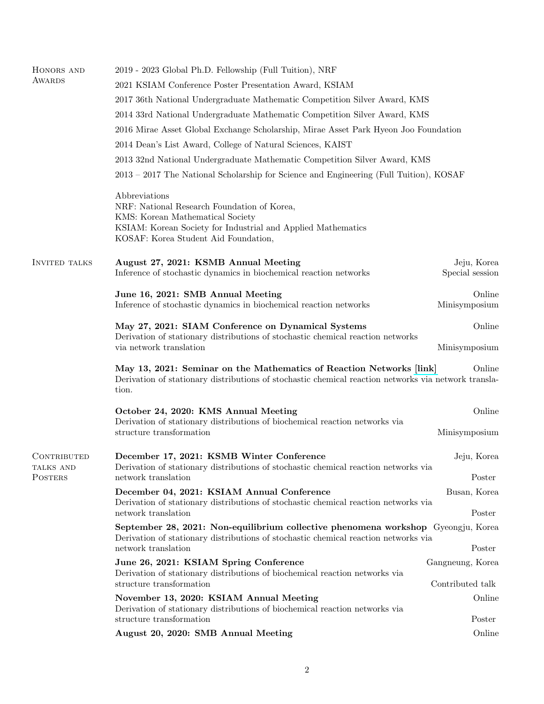| HONORS AND                  | 2019 - 2023 Global Ph.D. Fellowship (Full Tuition), NRF                                                                                                                                                  |                                      |  |
|-----------------------------|----------------------------------------------------------------------------------------------------------------------------------------------------------------------------------------------------------|--------------------------------------|--|
| AWARDS                      | 2021 KSIAM Conference Poster Presentation Award, KSIAM                                                                                                                                                   |                                      |  |
|                             | 2017 36th National Undergraduate Mathematic Competition Silver Award, KMS                                                                                                                                |                                      |  |
|                             | 2014 33rd National Undergraduate Mathematic Competition Silver Award, KMS                                                                                                                                |                                      |  |
|                             | 2016 Mirae Asset Global Exchange Scholarship, Mirae Asset Park Hyeon Joo Foundation                                                                                                                      |                                      |  |
|                             | 2014 Dean's List Award, College of Natural Sciences, KAIST                                                                                                                                               |                                      |  |
|                             | 2013 32nd National Undergraduate Mathematic Competition Silver Award, KMS                                                                                                                                |                                      |  |
|                             | 2013 – 2017 The National Scholarship for Science and Engineering (Full Tuition), KOSAF                                                                                                                   |                                      |  |
|                             | Abbreviations<br>NRF: National Research Foundation of Korea,<br>KMS: Korean Mathematical Society<br>KSIAM: Korean Society for Industrial and Applied Mathematics<br>KOSAF: Korea Student Aid Foundation, |                                      |  |
| <b>INVITED TALKS</b>        | August 27, 2021: KSMB Annual Meeting<br>Inference of stochastic dynamics in biochemical reaction networks                                                                                                | Jeju, Korea<br>Special session       |  |
|                             | June 16, 2021: SMB Annual Meeting                                                                                                                                                                        | Online                               |  |
|                             | Inference of stochastic dynamics in biochemical reaction networks                                                                                                                                        | Minisymposium                        |  |
|                             | May 27, 2021: SIAM Conference on Dynamical Systems<br>Derivation of stationary distributions of stochastic chemical reaction networks                                                                    | Online                               |  |
|                             | via network translation                                                                                                                                                                                  | Minisymposium                        |  |
|                             | May 13, 2021: Seminar on the Mathematics of Reaction Networks [link]<br>Derivation of stationary distributions of stochastic chemical reaction networks via network transla-<br>tion.                    | Online                               |  |
|                             | October 24, 2020: KMS Annual Meeting                                                                                                                                                                     | Online                               |  |
|                             | Derivation of stationary distributions of biochemical reaction networks via<br>structure transformation                                                                                                  | Minisymposium                        |  |
| CONTRIBUTED                 | December 17, 2021: KSMB Winter Conference                                                                                                                                                                | Jeju, Korea                          |  |
| TALKS AND<br><b>POSTERS</b> | Derivation of stationary distributions of stochastic chemical reaction networks via<br>network translation                                                                                               | Poster                               |  |
|                             | December 04, 2021: KSIAM Annual Conference                                                                                                                                                               | Busan, Korea                         |  |
|                             | Derivation of stationary distributions of stochastic chemical reaction networks via<br>network translation                                                                                               | Poster                               |  |
|                             | September 28, 2021: Non-equilibrium collective phenomena workshop Gyeongju, Korea<br>Derivation of stationary distributions of stochastic chemical reaction networks via                                 |                                      |  |
|                             | network translation                                                                                                                                                                                      | Poster                               |  |
|                             | June 26, 2021: KSIAM Spring Conference<br>Derivation of stationary distributions of biochemical reaction networks via<br>structure transformation                                                        | Gangneung, Korea<br>Contributed talk |  |
|                             | November 13, 2020: KSIAM Annual Meeting<br>Derivation of stationary distributions of biochemical reaction networks via                                                                                   | Online                               |  |
|                             | structure transformation                                                                                                                                                                                 | Poster                               |  |
|                             | August 20, 2020: SMB Annual Meeting                                                                                                                                                                      | Online                               |  |